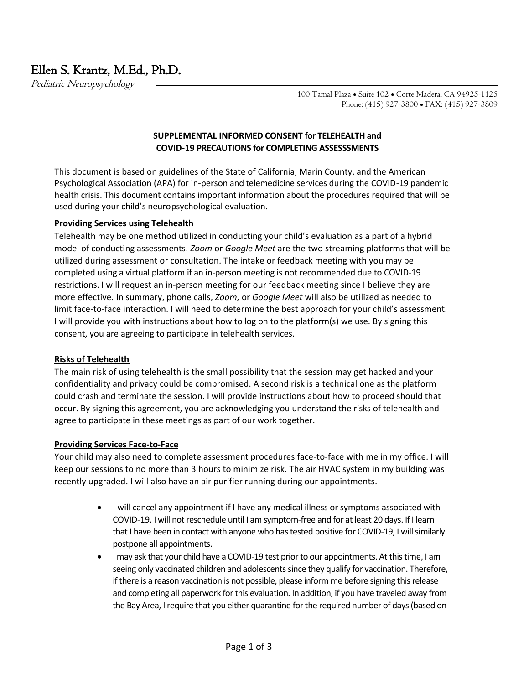# Ellen S. Krantz, M.Ed., Ph.D.

Pediatric Neuropsychology

100 Tamal Plaza • Suite 102 • Corte Madera, CA 94925-1125 Phone: (415) 927-3800 • FAX: (415) 927-3809

### **SUPPLEMENTAL INFORMED CONSENT for TELEHEALTH and COVID-19 PRECAUTIONS for COMPLETING ASSESSSMENTS**

This document is based on guidelines of the State of California, Marin County, and the American Psychological Association (APA) for in-person and telemedicine services during the COVID-19 pandemic health crisis. This document contains important information about the procedures required that will be used during your child's neuropsychological evaluation.

#### **Providing Services using Telehealth**

Telehealth may be one method utilized in conducting your child's evaluation as a part of a hybrid model of conducting assessments. *Zoom* or *Google Meet* are the two streaming platforms that will be utilized during assessment or consultation. The intake or feedback meeting with you may be completed using a virtual platform if an in-person meeting is not recommended due to COVID-19 restrictions. I will request an in-person meeting for our feedback meeting since I believe they are more effective. In summary, phone calls, *Zoom,* or *Google Meet* will also be utilized as needed to limit face-to-face interaction. I will need to determine the best approach for your child's assessment. I will provide you with instructions about how to log on to the platform(s) we use. By signing this consent, you are agreeing to participate in telehealth services.

#### **Risks of Telehealth**

The main risk of using telehealth is the small possibility that the session may get hacked and your confidentiality and privacy could be compromised. A second risk is a technical one as the platform could crash and terminate the session. I will provide instructions about how to proceed should that occur. By signing this agreement, you are acknowledging you understand the risks of telehealth and agree to participate in these meetings as part of our work together.

#### **Providing Services Face-to-Face**

Your child may also need to complete assessment procedures face-to-face with me in my office. I will keep our sessions to no more than 3 hours to minimize risk. The air HVAC system in my building was recently upgraded. I will also have an air purifier running during our appointments.

- I will cancel any appointment if I have any medical illness or symptoms associated with COVID-19. I will not reschedule until I am symptom-free and for at least 20 days. If I learn that I have been in contact with anyone who has tested positive for COVID-19, I will similarly postpone all appointments.
- I may ask that your child have a COVID-19 test prior to our appointments. At this time, I am seeing only vaccinated children and adolescents since they qualify for vaccination. Therefore, ifthere is a reason vaccination is not possible, please inform me before signing this release and completing all paperwork for this evaluation. In addition, if you have traveled away from the Bay Area, I require that you either quarantine for the required number of days (based on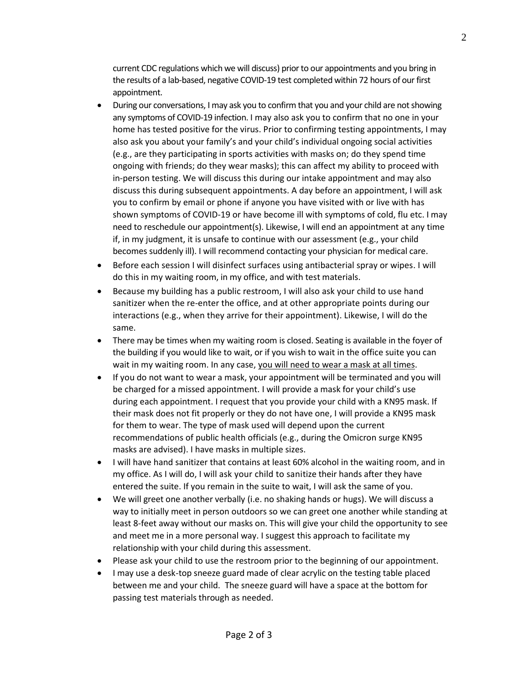current CDC regulations which we will discuss) prior to our appointments and you bring in the results of a lab-based, negative COVID-19 test completed within 72 hours of our first appointment.

- During our conversations, I may ask you to confirm that you and your child are not showing any symptoms of COVID-19 infection. I may also ask you to confirm that no one in your home has tested positive for the virus. Prior to confirming testing appointments, I may also ask you about your family's and your child's individual ongoing social activities (e.g., are they participating in sports activities with masks on; do they spend time ongoing with friends; do they wear masks); this can affect my ability to proceed with in-person testing. We will discuss this during our intake appointment and may also discuss this during subsequent appointments. A day before an appointment, I will ask you to confirm by email or phone if anyone you have visited with or live with has shown symptoms of COVID-19 or have become ill with symptoms of cold, flu etc. I may need to reschedule our appointment(s). Likewise, I will end an appointment at any time if, in my judgment, it is unsafe to continue with our assessment (e.g., your child becomes suddenly ill). I will recommend contacting your physician for medical care.
- Before each session I will disinfect surfaces using antibacterial spray or wipes. I will do this in my waiting room, in my office, and with test materials.
- Because my building has a public restroom, I will also ask your child to use hand sanitizer when the re-enter the office, and at other appropriate points during our interactions (e.g., when they arrive for their appointment). Likewise, I will do the same.
- There may be times when my waiting room is closed. Seating is available in the foyer of the building if you would like to wait, or if you wish to wait in the office suite you can wait in my waiting room. In any case, you will need to wear a mask at all times.
- If you do not want to wear a mask, your appointment will be terminated and you will be charged for a missed appointment. I will provide a mask for your child's use during each appointment. I request that you provide your child with a KN95 mask. If their mask does not fit properly or they do not have one, I will provide a KN95 mask for them to wear. The type of mask used will depend upon the current recommendations of public health officials (e.g., during the Omicron surge KN95 masks are advised). I have masks in multiple sizes.
- I will have hand sanitizer that contains at least 60% alcohol in the waiting room, and in my office. As I will do, I will ask your child to sanitize their hands after they have entered the suite. If you remain in the suite to wait, I will ask the same of you.
- We will greet one another verbally (i.e. no shaking hands or hugs). We will discuss a way to initially meet in person outdoors so we can greet one another while standing at least 8-feet away without our masks on. This will give your child the opportunity to see and meet me in a more personal way. I suggest this approach to facilitate my relationship with your child during this assessment.
- Please ask your child to use the restroom prior to the beginning of our appointment.
- I may use a desk-top sneeze guard made of clear acrylic on the testing table placed between me and your child. The sneeze guard will have a space at the bottom for passing test materials through as needed.